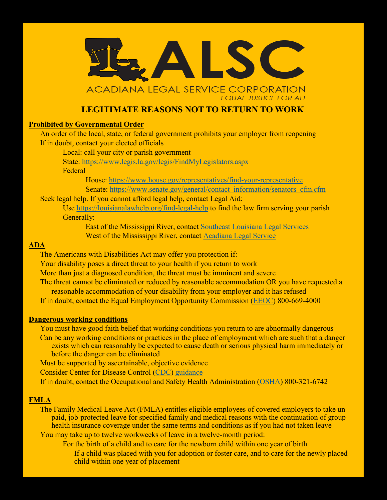

# **LEGITIMATE REASONS NOT TO RETURN TO WORK**

### **Prohibited by Governmental Order**

An order of the local, state, or federal government prohibits your employer from reopening If in doubt, contact your elected officials

Local: call your city or parish government

State: <https://www.legis.la.gov/legis/FindMyLegislators.aspx>

Federal

House: [https://www.house.gov/representatives/find](https://www.house.gov/representatives/find-your-representative)-your-representative Senate: [https://www.senate.gov/general/contact\\_information/senators\\_cfm.cfm](https://www.senate.gov/general/contact_information/senators_cfm.cfm)

## Seek legal help. If you cannot afford legal help, contact Legal Aid:

Use [https://louisianalawhelp.org/find](https://louisianalawhelp.org/find-legal-help)-legal-help to find the law firm serving your parish Generally:

East of the Mississippi River, contact [Southeast Louisiana Legal Services](https://slls.org/news/blog/) West of the Mississippi River, contact [Acadiana Legal Service](https://www.la-law.org/home/covid-19-legal-information-and-resources/)

### **ADA**

The Americans with Disabilities Act may offer you protection if:

Your disability poses a direct threat to your health if you return to work

More than just a diagnosed condition, the threat must be imminent and severe

The threat cannot be eliminated or reduced by reasonable accommodation OR you have requested a reasonable accommodation of your disability from your employer and it has refused

If in doubt, contact the Equal Employment Opportunity Commission ([EEOC\)](https://www.eeoc.gov/contact/) 800-669-4000

#### **Dangerous working conditions**

You must have good faith belief that working conditions you return to are abnormally dangerous Can be any working conditions or practices in the place of employment which are such that a danger exists which can reasonably be expected to cause death or serious physical harm immediately or before the danger can be eliminated

Must be supported by ascertainable, objective evidence

Consider Center for Disease Control ([CDC\)](https://www.cdc.gov/) [guidance](https://www.cdc.gov/coronavirus/2019-ncov/community/guidance-business-response.html)

If in doubt, contact the Occupational and Safety Health Administration ([OSHA\)](https://www.osha.gov/contactus) 800-321-6742

#### **FMLA**

The Family Medical Leave Act (FMLA) entitles eligible employees of covered employers to take unpaid, job-protected leave for specified family and medical reasons with the continuation of group health insurance coverage under the same terms and conditions as if you had not taken leave You may take up to twelve workweeks of leave in a twelve-month period:

For the birth of a child and to care for the newborn child within one year of birth

If a child was placed with you for adoption or foster care, and to care for the newly placed child within one year of placement